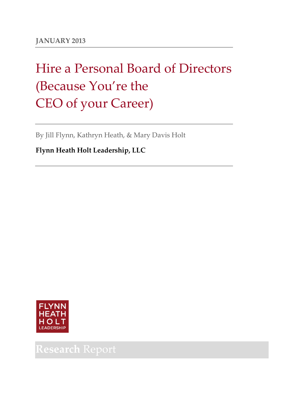# Hire a Personal Board of Directors (Because You're the CEO of your Career)

By Jill Flynn, Kathryn Heath, & Mary Davis Holt

**Flynn Heath Holt Leadership, LLC**



# **Research** Report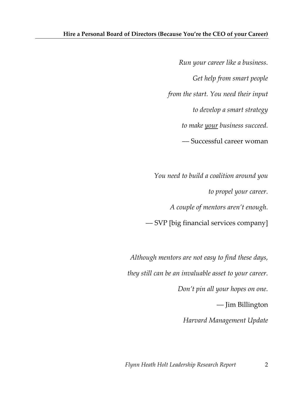*Run your career like a business. Get help from smart people from the start. You need their input to develop a smart strategy to make your business succeed.* –– Successful career woman

*You need to build a coalition around you to propel your career. A couple of mentors aren't enough.* –– SVP [big financial services company]

*Although mentors are not easy to find these days, they still can be an invaluable asset to your career. Don't pin all your hopes on one.*  –– Jim Billington *Harvard Management Update*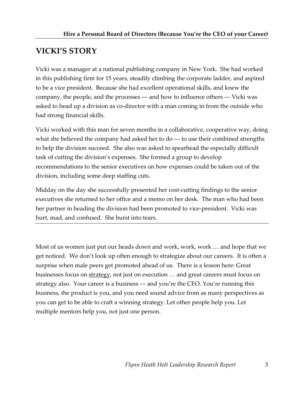# **VICKI'S STORY**

Vicki was a manager at a national publishing company in New York. She had worked in this publishing firm for 15 years, steadily climbing the corporate ladder, and aspired to be a vice president. Because she had excellent operational skills, and knew the company, the people, and the processes –– and how to influence others –– Vicki was asked to head up a division as co-director with a man coming in from the outside who had strong financial skills.

Vicki worked with this man for seven months in a collaborative, cooperative way, doing what she believed the company had asked her to  $do - to$  use their combined strengths to help the division succeed. She also was asked to spearhead the especially difficult task of cutting the division's expenses. She formed a group to develop recommendations to the senior executives on how expenses could be taken out of the division, including some deep staffing cuts.

Midday on the day she successfully presented her cost-cutting findings to the senior executives she returned to her office and a memo on her desk. The man who had been her partner in heading the division had been promoted to vice-president. Vicki was hurt, mad, and confused. She burst into tears.

Most of us women just put our heads down and work, work, work … and hope that we get noticed. We don't look up often enough to strategize about our careers. It is often a surprise when male peers get promoted ahead of us. There is a lesson here: Great businesses focus on strategy, not just on execution … and great careers must focus on strategy also. Your career is a business –– and you're the CEO. You're running this business, the product is you, and you need sound advice from as many perspectives as you can get to be able to craft a winning strategy. Let other people help you. Let multiple mentors help you, not just one person.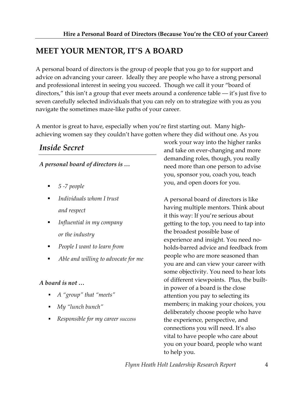# **MEET YOUR MENTOR, IT'S A BOARD**

A personal board of directors is the group of people that you go to for support and advice on advancing your career. Ideally they are people who have a strong personal and professional interest in seeing you succeed. Though we call it your "board of directors," this isn't a group that ever meets around a conference table — it's just five to seven carefully selected individuals that you can rely on to strategize with you as you navigate the sometimes maze-like paths of your career.

A mentor is great to have, especially when you're first starting out. Many highachieving women say they couldn't have gotten where they did without one. As you

# *Inside Secret*

*A personal board of directors is …*

- *5 -7 people*
- *Individuals whom I trust and respect*
- *Influential in my company or the industry*
- *People I want to learn from*
- *Able and willing to advocate for me*

#### *A board is not …*

- *A "group" that "meets"*
- *My "lunch bunch"*
- *Responsible for my career success*

work your way into the higher ranks and take on ever-changing and more demanding roles, though, you really need more than one person to advise you, sponsor you, coach you, teach you, and open doors for you.

A personal board of directors is like having multiple mentors. Think about it this way: If you're serious about getting to the top, you need to tap into the broadest possible base of experience and insight. You need noholds-barred advice and feedback from people who are more seasoned than you are and can view your career with some objectivity. You need to hear lots of different viewpoints. Plus, the builtin power of a board is the close attention you pay to selecting its members; in making your choices, you deliberately choose people who have the experience, perspective, and connections you will need. It's also vital to have people who care about you on your board, people who want to help you.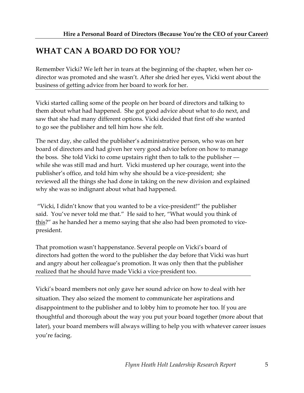# **WHAT CAN A BOARD DO FOR YOU?**

Remember Vicki? We left her in tears at the beginning of the chapter, when her codirector was promoted and she wasn't. After she dried her eyes, Vicki went about the business of getting advice from her board to work for her.

Vicki started calling some of the people on her board of directors and talking to them about what had happened. She got good advice about what to do next, and saw that she had many different options. Vicki decided that first off she wanted to go see the publisher and tell him how she felt.

The next day, she called the publisher's administrative person, who was on her board of directors and had given her very good advice before on how to manage the boss. She told Vicki to come upstairs right then to talk to the publisher –– while she was still mad and hurt. Vicki mustered up her courage, went into the publisher's office, and told him why she should be a vice-president; she reviewed all the things she had done in taking on the new division and explained why she was so indignant about what had happened.

"Vicki, I didn't know that you wanted to be a vice-president!" the publisher said. You've never told me that." He said to her, "What would you think of this?" as he handed her a memo saying that she also had been promoted to vicepresident.

That promotion wasn't happenstance. Several people on Vicki's board of directors had gotten the word to the publisher the day before that Vicki was hurt and angry about her colleague's promotion. It was only then that the publisher realized that he should have made Vicki a vice-president too.

Vicki's board members not only gave her sound advice on how to deal with her situation. They also seized the moment to communicate her aspirations and disappointment to the publisher and to lobby him to promote her too. If you are thoughtful and thorough about the way you put your board together (more about that later), your board members will always willing to help you with whatever career issues you're facing.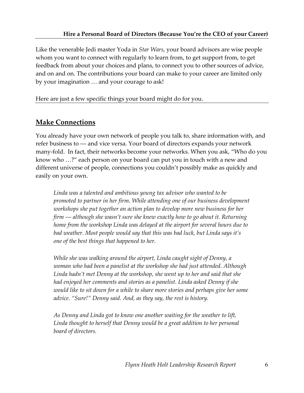Like the venerable Jedi master Yoda in *Star Wars*, your board advisors are wise people whom you want to connect with regularly to learn from, to get support from, to get feedback from about your choices and plans, to connect you to other sources of advice, and on and on. The contributions your board can make to your career are limited only by your imagination … and your courage to ask!

Here are just a few specific things your board might do for you.

# **Make Connections**

You already have your own network of people you talk to, share information with, and refer business to –– and vice versa. Your board of directors expands your network many-fold. In fact, their networks become your networks. When you ask, "Who do you know who …?" each person on your board can put you in touch with a new and different universe of people, connections you couldn't possibly make as quickly and easily on your own.

*Linda was a talented and ambitious young tax advisor who wanted to be promoted to partner in her firm. While attending one of our business development workshops she put together an action plan to develop more new business for her firm –– although she wasn't sure she knew exactly how to go about it. Returning home from the workshop Linda was delayed at the airport for several hours due to bad weather. Most people would say that this was bad luck, but Linda says it's one of the best things that happened to her.* 

*While she was walking around the airport, Linda caught sight of Denny, a woman who had been a panelist at the workshop she had just attended. Although Linda hadn't met Denny at the workshop, she went up to her and said that she had enjoyed her comments and stories as a panelist. Linda asked Denny if she would like to sit down for a while to share more stories and perhaps give her some advice. "Sure!" Denny said. And, as they say, the rest is history.* 

*As Denny and Linda got to know one another waiting for the weather to lift, Linda thought to herself that Denny would be a great addition to her personal board of directors.*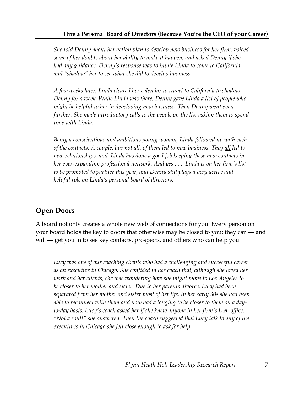*She told Denny about her action plan to develop new business for her firm, voiced some of her doubts about her ability to make it happen, and asked Denny if she had any guidance. Denny's response was to invite Linda to come to California and "shadow" her to see what she did to develop business.* 

*A few weeks later, Linda cleared her calendar to travel to California to shadow Denny for a week. While Linda was there, Denny gave Linda a list of people who might be helpful to her in developing new business. Then Denny went even further. She made introductory calls to the people on the list asking them to spend time with Linda.* 

*Being a conscientious and ambitious young woman, Linda followed up with each of the contacts. A couple, but not all, of them led to new business. They all led to new relationships, and Linda has done a good job keeping these new contacts in her ever-expanding professional network. And yes . . . Linda is on her firm's list to be promoted to partner this year, and Denny still plays a very active and helpful role on Linda's personal board of directors.*

## **Open Doors**

A board not only creates a whole new web of connections for you. Every person on your board holds the key to doors that otherwise may be closed to you; they can –– and will — get you in to see key contacts, prospects, and others who can help you.

*Lucy was one of our coaching clients who had a challenging and successful career as an executive in Chicago. She confided in her coach that, although she loved her work and her clients, she was wondering how she might move to Los Angeles to be closer to her mother and sister. Due to her parents divorce, Lucy had been separated from her mother and sister most of her life. In her early 30s she had been able to reconnect with them and now had a longing to be closer to them on a dayto-day basis. Lucy's coach asked her if she knew anyone in her firm's L.A. office. "Not a soul!" she answered. Then the coach suggested that Lucy talk to any of the executives in Chicago she felt close enough to ask for help.*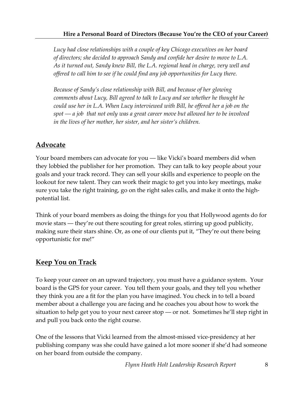*Lucy had close relationships with a couple of key Chicago executives on her board of directors; she decided to approach Sandy and confide her desire to move to L.A. As it turned out, Sandy knew Bill, the L.A. regional head in charge, very well and offered to call him to see if he could find any job opportunities for Lucy there.* 

*Because of Sandy's close relationship with Bill, and because of her glowing comments about Lucy, Bill agreed to talk to Lucy and see whether he thought he could use her in L.A. When Lucy interviewed with Bill, he offered her a job on the spot –– a job that not only was a great career move but allowed her to be involved in the lives of her mother, her sister, and her sister's children.*

# **Advocate**

Your board members can advocate for you — like Vicki's board members did when they lobbied the publisher for her promotion. They can talk to key people about your goals and your track record. They can sell your skills and experience to people on the lookout for new talent. They can work their magic to get you into key meetings, make sure you take the right training, go on the right sales calls, and make it onto the highpotential list.

Think of your board members as doing the things for you that Hollywood agents do for movie stars –– they're out there scouting for great roles, stirring up good publicity, making sure their stars shine. Or, as one of our clients put it, "They're out there being opportunistic for me!"

## **Keep You on Track**

To keep your career on an upward trajectory, you must have a guidance system. Your board is the GPS for your career. You tell them your goals, and they tell you whether they think you are a fit for the plan you have imagined. You check in to tell a board member about a challenge you are facing and he coaches you about how to work the situation to help get you to your next career stop –– or not. Sometimes he'll step right in and pull you back onto the right course.

One of the lessons that Vicki learned from the almost-missed vice-presidency at her publishing company was she could have gained a lot more sooner if she'd had someone on her board from outside the company.

*Flynn Heath Holt Leadership Research Report* 8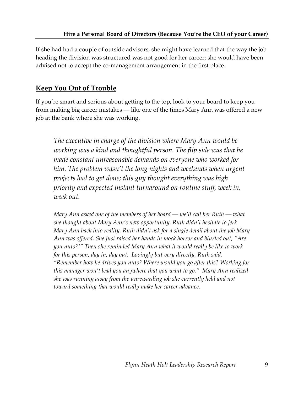If she had had a couple of outside advisors, she might have learned that the way the job heading the division was structured was not good for her career; she would have been advised not to accept the co-management arrangement in the first place.

# **Keep You Out of Trouble**

If you're smart and serious about getting to the top, look to your board to keep you from making big career mistakes –– like one of the times Mary Ann was offered a new job at the bank where she was working.

*The executive in charge of the division where Mary Ann would be working was a kind and thoughtful person. The flip side was that he made constant unreasonable demands on everyone who worked for him. The problem wasn't the long nights and weekends when urgent projects had to get done; this guy thought everything was high priority and expected instant turnaround on routine stuff, week in, week out.* 

*Mary Ann asked one of the members of her board –– we'll call her Ruth –– what she thought about Mary Ann's new opportunity. Ruth didn't hesitate to jerk Mary Ann back into reality. Ruth didn't ask for a single detail about the job Mary Ann was offered. She just raised her hands in mock horror and blurted out, "Are you nuts?!" Then she reminded Mary Ann what it would really be like to work for this person, day in, day out. Lovingly but very directly, Ruth said, "Remember how he drives you nuts? Where would you go after this? Working for this manager won't lead you anywhere that you want to go." Mary Ann realized she was running away from the unrewarding job she currently held and not toward something that would really make her career advance.*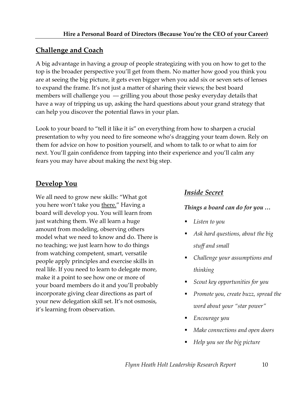## **Challenge and Coach**

A big advantage in having a group of people strategizing with you on how to get to the top is the broader perspective you'll get from them. No matter how good you think you are at seeing the big picture, it gets even bigger when you add six or seven sets of lenses to expand the frame. It's not just a matter of sharing their views; the best board members will challenge you — grilling you about those pesky everyday details that have a way of tripping us up, asking the hard questions about your grand strategy that can help you discover the potential flaws in your plan.

Look to your board to "tell it like it is" on everything from how to sharpen a crucial presentation to why you need to fire someone who's dragging your team down. Rely on them for advice on how to position yourself, and whom to talk to or what to aim for next. You'll gain confidence from tapping into their experience and you'll calm any fears you may have about making the next big step.

# **Develop You**

We all need to grow new skills: "What got you here won't take you there." Having a board will develop you. You will learn from just watching them. We all learn a huge amount from modeling, observing others model what we need to know and do. There is no teaching; we just learn how to do things from watching competent, smart, versatile people apply principles and exercise skills in real life. If you need to learn to delegate more, make it a point to see how one or more of your board members do it and you'll probably incorporate giving clear directions as part of your new delegation skill set. It's not osmosis, it's learning from observation.

## *Inside Secret*

#### *Things a board can do for you …*

- *Listen to you*
- *Ask hard questions, about the big stuff and small*
- *Challenge your assumptions and thinking*
- *Scout key opportunities for you*
- *Promote you, create buzz, spread the word about your "star power"*
- *Encourage you*
- *Make connections and open doors*
- *Help you see the big picture*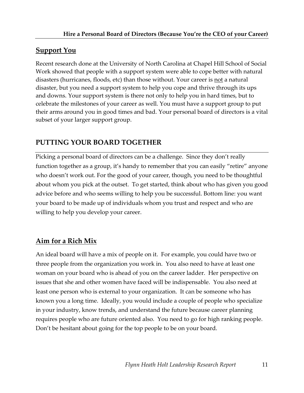# **Support You**

Recent research done at the University of North Carolina at Chapel Hill School of Social Work showed that people with a support system were able to cope better with natural disasters (hurricanes, floods, etc) than those without. Your career is not a natural disaster, but you need a support system to help you cope and thrive through its ups and downs. Your support system is there not only to help you in hard times, but to celebrate the milestones of your career as well. You must have a support group to put their arms around you in good times and bad. Your personal board of directors is a vital subset of your larger support group.

# **PUTTING YOUR BOARD TOGETHER**

Picking a personal board of directors can be a challenge. Since they don't really function together as a group, it's handy to remember that you can easily "retire" anyone who doesn't work out. For the good of your career, though, you need to be thoughtful about whom you pick at the outset. To get started, think about who has given you good advice before and who seems willing to help you be successful. Bottom line: you want your board to be made up of individuals whom you trust and respect and who are willing to help you develop your career.

# **Aim for a Rich Mix**

An ideal board will have a mix of people on it. For example, you could have two or three people from the organization you work in. You also need to have at least one woman on your board who is ahead of you on the career ladder. Her perspective on issues that she and other women have faced will be indispensable. You also need at least one person who is external to your organization. It can be someone who has known you a long time. Ideally, you would include a couple of people who specialize in your industry, know trends, and understand the future because career planning requires people who are future oriented also. You need to go for high ranking people. Don't be hesitant about going for the top people to be on your board.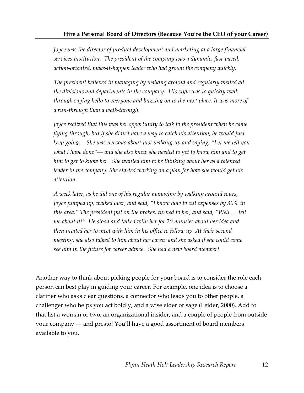*Joyce was the director of product development and marketing at a large financial services institution. The president of the company was a dynamic, fast-paced, action-oriented, make-it-happen leader who had grown the company quickly.* 

*The president believed in managing by walking around and regularly visited all the divisions and departments in the company. His style was to quickly walk through saying hello to everyone and buzzing on to the next place. It was more of a run-through than a walk-through.*

*Joyce realized that this was her opportunity to talk to the president when he came flying through, but if she didn't have a way to catch his attention, he would just keep going. She was nervous about just walking up and saying, "Let me tell you what I have done"–– and she also knew she needed to get to know him and to get him to get to know her. She wanted him to be thinking about her as a talented leader in the company. She started working on a plan for how she would get his attention.*

*A week later, as he did one of his regular managing by walking around tours, Joyce jumped up, walked over, and said, "I know how to cut expenses by 30% in this area." The president put on the brakes, turned to her, and said, "Well … tell me about it!" He stood and talked with her for 20 minutes about her idea and then invited her to meet with him in his office to follow up. At their second meeting, she also talked to him about her career and she asked if she could come see him in the future for career advice. She had a new board member!* 

Another way to think about picking people for your board is to consider the role each person can best play in guiding your career. For example, one idea is to choose a clarifier who asks clear questions, a connector who leads you to other people, a challenger who helps you act boldly, and a wise elder or sage (Leider, 2000). Add to that list a woman or two, an organizational insider, and a couple of people from outside your company –– and presto! You'll have a good assortment of board members available to you.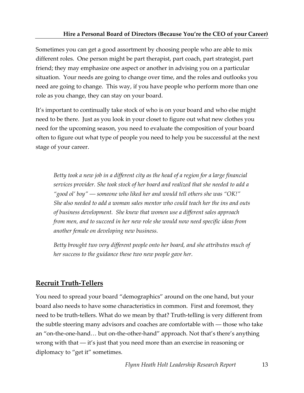#### **Hire a Personal Board of Directors (Because You're the CEO of your Career)**

Sometimes you can get a good assortment by choosing people who are able to mix different roles. One person might be part therapist, part coach, part strategist, part friend; they may emphasize one aspect or another in advising you on a particular situation. Your needs are going to change over time, and the roles and outlooks you need are going to change. This way, if you have people who perform more than one role as you change, they can stay on your board.

It's important to continually take stock of who is on your board and who else might need to be there. Just as you look in your closet to figure out what new clothes you need for the upcoming season, you need to evaluate the composition of your board often to figure out what type of people you need to help you be successful at the next stage of your career.

*Betty took a new job in a different city as the head of a region for a large financial services provider. She took stock of her board and realized that she needed to add a "good ol' boy" –– someone who liked her and would tell others she was "OK!" She also needed to add a woman sales mentor who could teach her the ins and outs of business development. She knew that women use a different sales approach from men, and to succeed in her new role she would now need specific ideas from another female on developing new business.* 

*Betty brought two very different people onto her board, and she attributes much of her success to the guidance these two new people gave her.*

#### **Recruit Truth-Tellers**

You need to spread your board "demographics" around on the one hand, but your board also needs to have some characteristics in common. First and foremost, they need to be truth-tellers. What do we mean by that? Truth-telling is very different from the subtle steering many advisors and coaches are comfortable with –– those who take an "on-the-one-hand… but on-the-other-hand" approach. Not that's there's anything wrong with that –– it's just that you need more than an exercise in reasoning or diplomacy to "get it" sometimes.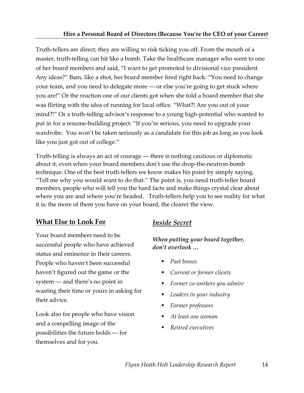Truth-tellers are direct; they are willing to risk ticking you off. From the mouth of a master, truth-telling can hit like a bomb. Take the healthcare manager who went to one of her board members and said, "I want to get promoted to divisional vice president. Any ideas?" Bam, like a shot, her board member fired right back: "You need to change your team, and you need to delegate more –– or else you're going to get stuck where you are!" Or the reaction one of our clients got when she told a board member that she was flirting with the idea of running for local office. "What?! Are you out of your mind?!" Or a truth-telling advisor's response to a young high-potential who wanted to put in for a resume-building project: "If you're serious, you need to upgrade your wardrobe. You won't be taken seriously as a candidate for this job as long as you look like you just got out of college."

Truth-telling is always an act of courage –– there is nothing cautious or diplomatic about it, even when your board members don't use the drop-the-neutron-bomb technique. One of the best truth-tellers we know makes his point by simply saying, "Tell me why you would want to do that." The point is, you need truth-teller board members, people who will tell you the hard facts and make things crystal clear about where you are and where you're headed. Truth-tellers help you to see reality for what it is; the more of them you have on your board, the clearer the view.

# **What Else to Look For**

Your board members need to be successful people who have achieved status and eminence in their careers. People who haven't been successful haven't figured out the game or the system –– and there's no point in wasting their time or yours in asking for their advice.

Look also for people who have vision and a compelling image of the possibilities the future holds –– for themselves and for you.

# *Inside Secret*

*When putting your board together, don't overlook …*

- *Past bosses*
- *Current or former clients*
- *Former co-workers you admire*
- *Leaders in your industry*
- *Former professors*
- *At least one woman*
- *Retired executives*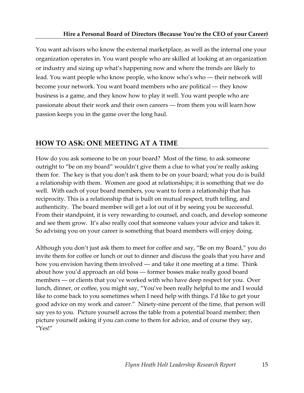You want advisors who know the external marketplace, as well as the internal one your organization operates in. You want people who are skilled at looking at an organization or industry and sizing up what's happening now and where the trends are likely to lead. You want people who know people, who know who's who — their network will become your network. You want board members who are political — they know business is a game, and they know how to play it well. You want people who are passionate about their work and their own careers –– from them you will learn how passion keeps you in the game over the long haul.

# **HOW TO ASK: ONE MEETING AT A TIME**

How do you ask someone to be on your board? Most of the time, to ask someone outright to "be on my board" wouldn't give them a clue to what you're really asking them for. The key is that you don't ask them to be on your board; what you do is build a relationship with them. Women are good at relationships; it is something that we do well. With each of your board members, you want to form a relationship that has reciprocity. This is a relationship that is built on mutual respect, truth telling, and authenticity. The board member will get a lot out of it by seeing you be successful. From their standpoint, it is very rewarding to counsel, and coach, and develop someone and see them grow. It's also really cool that someone values your advice and takes it. So advising you on your career is something that board members will enjoy doing.

Although you don't just ask them to meet for coffee and say, "Be on my Board," you do invite them for coffee or lunch or out to dinner and discuss the goals that you have and how you envision having them involved — and take it one meeting at a time. Think about how you'd approach an old boss –– former bosses make really good board members — or clients that you've worked with who have deep respect for you. Over lunch, dinner, or coffee, you might say, "You've been really helpful to me and I would like to come back to you sometimes when I need help with things. I'd like to get your good advice on my work and career." Ninety-nine percent of the time, that person will say yes to you. Picture yourself across the table from a potential board member; then picture yourself asking if you can come to them for advice, and of course they say, "Yes!"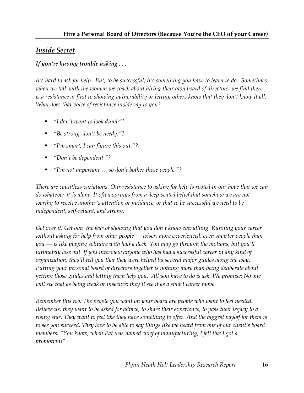#### *Inside Secret*

#### *If you're having trouble asking . . .*

*It's hard to ask for help. But, to be successful, it's something you have to learn to do. Sometimes when we talk with the women we coach about hiring their own board of directors, we find there is a resistance at first to showing vulnerability or letting others know that they don't know it all. What does that voice of resistance inside say to you?*

- *"I don't want to look dumb"?*
- *"Be strong; don't be needy."?*
- *"I'm smart; I can figure this out."?*
- *"Don't be dependent."?*
- *"I'm not important … so don't bother those people."?*

*There are countless variations. Our resistance to asking for help is rooted in our hope that we can do whatever-it-is alone. It often springs from a deep-seated belief that somehow we are not worthy to receive another's attention or guidance, or that to be successful we need to be independent, self-reliant, and strong.*

*Get over it. Get over the fear of showing that you don't know everything. Running your career without asking for help from other people –– wiser, more experienced, even smarter people than you –– is like playing solitaire with half a deck. You may go through the motions, but you'll ultimately lose out. If you interview anyone who has had a successful career in any kind of organization, they'll tell you that they were helped by several major guides along the way. Putting your personal board of directors together is nothing more than being deliberate about getting those guides and letting them help you. All you have to do is ask. We promise: No one will see that as being weak or insecure; they'll see it as a smart career move.*

*Remember this too: The people you want on your board are people who want to feel needed. Believe us, they want to be asked for advice, to share their experience, to pass their legacy to a rising star. They want to feel like they have something to offer. And the biggest payoff for them is to see you succeed. They love to be able to say things like we heard from one of our client's board members: "You know, when Pat was named chief of manufacturing, I felt like I got a promotion!"*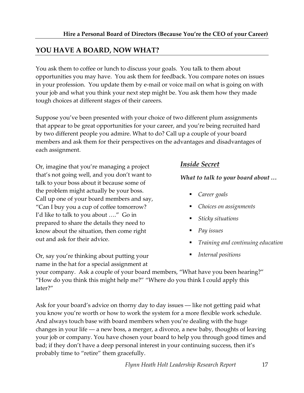# **YOU HAVE A BOARD, NOW WHAT?**

You ask them to coffee or lunch to discuss your goals. You talk to them about opportunities you may have. You ask them for feedback. You compare notes on issues in your profession. You update them by e-mail or voice mail on what is going on with your job and what you think your next step might be. You ask them how they made tough choices at different stages of their careers.

Suppose you've been presented with your choice of two different plum assignments that appear to be great opportunities for your career, and you're being recruited hard by two different people you admire. What to do? Call up a couple of your board members and ask them for their perspectives on the advantages and disadvantages of each assignment.

Or, imagine that you're managing a project that's not going well, and you don't want to talk to your boss about it because some of the problem might actually be your boss. Call up one of your board members and say, "Can I buy you a cup of coffee tomorrow? I'd like to talk to you about …." Go in prepared to share the details they need to know about the situation, then come right out and ask for their advice.

Or, say you're thinking about putting your name in the hat for a special assignment at

#### *Inside Secret*

*What to talk to your board about …*

- *Career goals*
- *Choices on assignments*
- *Sticky situations*
- *Pay issues*
- *Training and continuing education*
- *Internal positions*

your company. Ask a couple of your board members, "What have you been hearing?" "How do you think this might help me?" "Where do you think I could apply this later?"

Ask for your board's advice on thorny day to day issues — like not getting paid what you know you're worth or how to work the system for a more flexible work schedule. And always touch base with board members when you're dealing with the huge changes in your life –– a new boss, a merger, a divorce, a new baby, thoughts of leaving your job or company. You have chosen your board to help you through good times and bad; if they don't have a deep personal interest in your continuing success, then it's probably time to "retire" them gracefully.

*Flynn Heath Holt Leadership Research Report* 17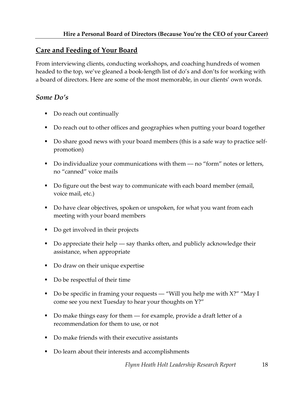#### **Care and Feeding of Your Board**

From interviewing clients, conducting workshops, and coaching hundreds of women headed to the top, we've gleaned a book-length list of do's and don'ts for working with a board of directors. Here are some of the most memorable, in our clients' own words.

#### *Some Do's*

- Do reach out continually
- Do reach out to other offices and geographies when putting your board together
- Do share good news with your board members (this is a safe way to practice selfpromotion)
- Do individualize your communications with them  $-$  no "form" notes or letters, no "canned" voice mails
- Do figure out the best way to communicate with each board member (email, voice mail, etc.)
- Do have clear objectives, spoken or unspoken, for what you want from each meeting with your board members
- Do get involved in their projects
- Do appreciate their help say thanks often, and publicly acknowledge their assistance, when appropriate
- Do draw on their unique expertise
- Do be respectful of their time
- Do be specific in framing your requests "Will you help me with  $X$ ?" "May I come see you next Tuesday to hear your thoughts on Y?"
- Do make things easy for them for example, provide a draft letter of a recommendation for them to use, or not
- Do make friends with their executive assistants
- Do learn about their interests and accomplishments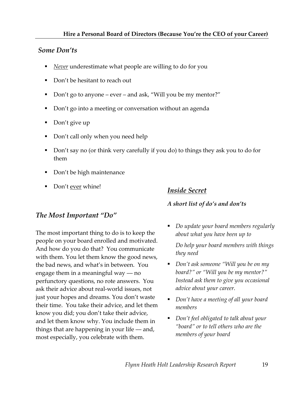#### *Some Don'ts*

- *Never* underestimate what people are willing to do for you
- Don't be hesitant to reach out
- Don't go to anyone ever and ask, "Will you be my mentor?"
- Don't go into a meeting or conversation without an agenda
- Don't give up
- Don't call only when you need help
- Don't say no (or think very carefully if you do) to things they ask you to do for them
- Don't be high maintenance
- Don't ever whine!

#### *Inside Secret*

#### *A short list of do's and don'ts*

## *The Most Important "Do"*

The most important thing to do is to keep the people on your board enrolled and motivated. And how do you do that? You communicate with them. You let them know the good news, the bad news, and what's in between. You engage them in a meaningful way  $-$  no perfunctory questions, no rote answers. You ask their advice about real-world issues, not just your hopes and dreams. You don't waste their time. You take their advice, and let them know you did; you don't take their advice, and let them know why. You include them in things that are happening in your life  $-$  and, most especially, you celebrate with them.

 *Do update your board members regularly about what you have been up to*

*Do help your board members with things they need*

- *Don't ask someone "Will you be on my board?" or "Will you be my mentor?" Instead ask them to give you occasional advice about your career.*
- *Don't have a meeting of all your board members*
- *Don't feel obligated to talk about your "board" or to tell others who are the members of your board*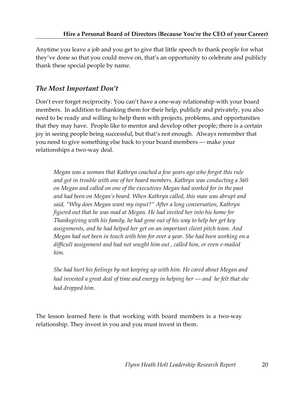Anytime you leave a job and you get to give that little speech to thank people for what they've done so that you could move on, that's an opportunity to celebrate and publicly thank these special people by name.

## *The Most Important Don't*

Don't ever forget reciprocity. You can't have a one-way relationship with your board members. In addition to thanking them for their help, publicly and privately, you also need to be ready and willing to help them with projects, problems, and opportunities that they may have. People like to mentor and develop other people; there is a certain joy in seeing people being successful, but that's not enough. Always remember that you need to give something else back to your board members –– make your relationships a two-way deal.

*Megan was a woman that Kathryn coached a few years ago who forgot this rule and got in trouble with one of her board members. Kathryn was conducting a 360 on Megan and called on one of the executives Megan had worked for in the past and had been on Megan's board. When Kathryn called, this man was abrupt and said, "Why does Megan want my input?" After a long conversation, Kathryn figured out that he was mad at Megan. He had invited her into his home for Thanksgiving with his family, he had gone out of his way to help her get key assignments, and he had helped her get on an important client pitch team. And Megan had not been in touch with him for over a year. She had been working on a difficult assignment and had not sought him out , called him, or even e-mailed him.*

*She had hurt his feelings by not keeping up with him. He cared about Megan and had invested a great deal of time and energy in helping her –– and he felt that she had dropped him.*

The lesson learned here is that working with board members is a two-way relationship. They invest in you and you must invest in them.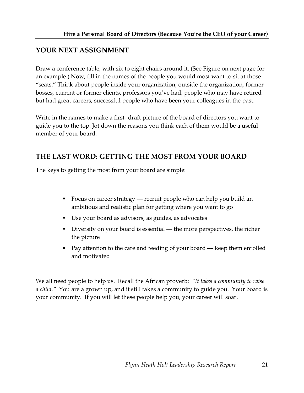#### **YOUR NEXT ASSIGNMENT**

Draw a conference table, with six to eight chairs around it. (See Figure on next page for an example.) Now, fill in the names of the people you would most want to sit at those "seats." Think about people inside your organization, outside the organization, former bosses, current or former clients, professors you've had, people who may have retired but had great careers, successful people who have been your colleagues in the past.

Write in the names to make a first- draft picture of the board of directors you want to guide you to the top. Jot down the reasons you think each of them would be a useful member of your board.

#### **THE LAST WORD: GETTING THE MOST FROM YOUR BOARD**

The keys to getting the most from your board are simple:

- Focus on career strategy recruit people who can help you build an ambitious and realistic plan for getting where you want to go
- Use your board as advisors, as guides, as advocates
- Diversity on your board is essential the more perspectives, the richer the picture
- **Pay attention to the care and feeding of your board keep them enrolled** and motivated

We all need people to help us. Recall the African proverb: *"It takes a community to raise a child."* You are a grown up, and it still takes a community to guide you. Your board is your community. If you will let these people help you, your career will soar.